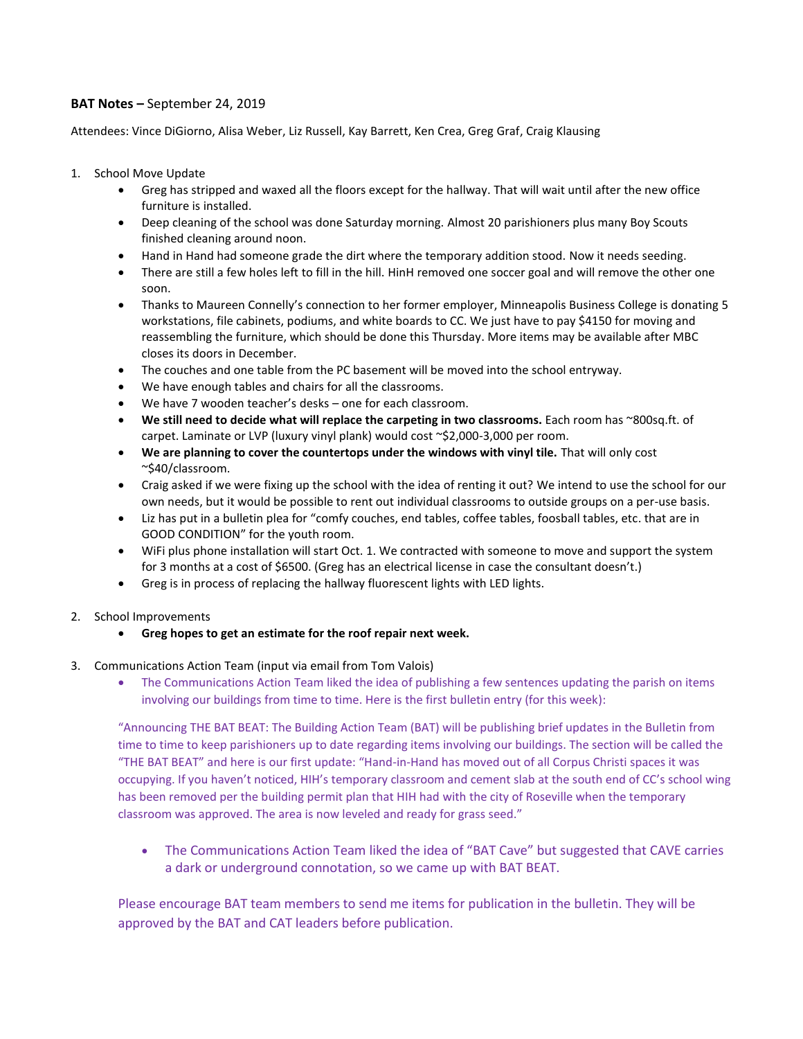## **BAT Notes –** September 24, 2019

Attendees: Vince DiGiorno, Alisa Weber, Liz Russell, Kay Barrett, Ken Crea, Greg Graf, Craig Klausing

- 1. School Move Update
	- Greg has stripped and waxed all the floors except for the hallway. That will wait until after the new office furniture is installed.
	- Deep cleaning of the school was done Saturday morning. Almost 20 parishioners plus many Boy Scouts finished cleaning around noon.
	- Hand in Hand had someone grade the dirt where the temporary addition stood. Now it needs seeding.
	- There are still a few holes left to fill in the hill. HinH removed one soccer goal and will remove the other one soon.
	- Thanks to Maureen Connelly's connection to her former employer, Minneapolis Business College is donating 5 workstations, file cabinets, podiums, and white boards to CC. We just have to pay \$4150 for moving and reassembling the furniture, which should be done this Thursday. More items may be available after MBC closes its doors in December.
	- The couches and one table from the PC basement will be moved into the school entryway.
	- We have enough tables and chairs for all the classrooms.
	- We have 7 wooden teacher's desks one for each classroom.
	- **We still need to decide what will replace the carpeting in two classrooms.** Each room has ~800sq.ft. of carpet. Laminate or LVP (luxury vinyl plank) would cost ~\$2,000-3,000 per room.
	- **We are planning to cover the countertops under the windows with vinyl tile.** That will only cost ~\$40/classroom.
	- Craig asked if we were fixing up the school with the idea of renting it out? We intend to use the school for our own needs, but it would be possible to rent out individual classrooms to outside groups on a per-use basis.
	- Liz has put in a bulletin plea for "comfy couches, end tables, coffee tables, foosball tables, etc. that are in GOOD CONDITION" for the youth room.
	- WiFi plus phone installation will start Oct. 1. We contracted with someone to move and support the system for 3 months at a cost of \$6500. (Greg has an electrical license in case the consultant doesn't.)
	- Greg is in process of replacing the hallway fluorescent lights with LED lights.
- 2. School Improvements
	- **Greg hopes to get an estimate for the roof repair next week.**
- 3. Communications Action Team (input via email from Tom Valois)
	- The Communications Action Team liked the idea of publishing a few sentences updating the parish on items involving our buildings from time to time. Here is the first bulletin entry (for this week):

"Announcing THE BAT BEAT: The Building Action Team (BAT) will be publishing brief updates in the Bulletin from time to time to keep parishioners up to date regarding items involving our buildings. The section will be called the "THE BAT BEAT" and here is our first update: "Hand-in-Hand has moved out of all Corpus Christi spaces it was occupying. If you haven't noticed, HIH's temporary classroom and cement slab at the south end of CC's school wing has been removed per the building permit plan that HIH had with the city of Roseville when the temporary classroom was approved. The area is now leveled and ready for grass seed."

• The Communications Action Team liked the idea of "BAT Cave" but suggested that CAVE carries a dark or underground connotation, so we came up with BAT BEAT.

Please encourage BAT team members to send me items for publication in the bulletin. They will be approved by the BAT and CAT leaders before publication.